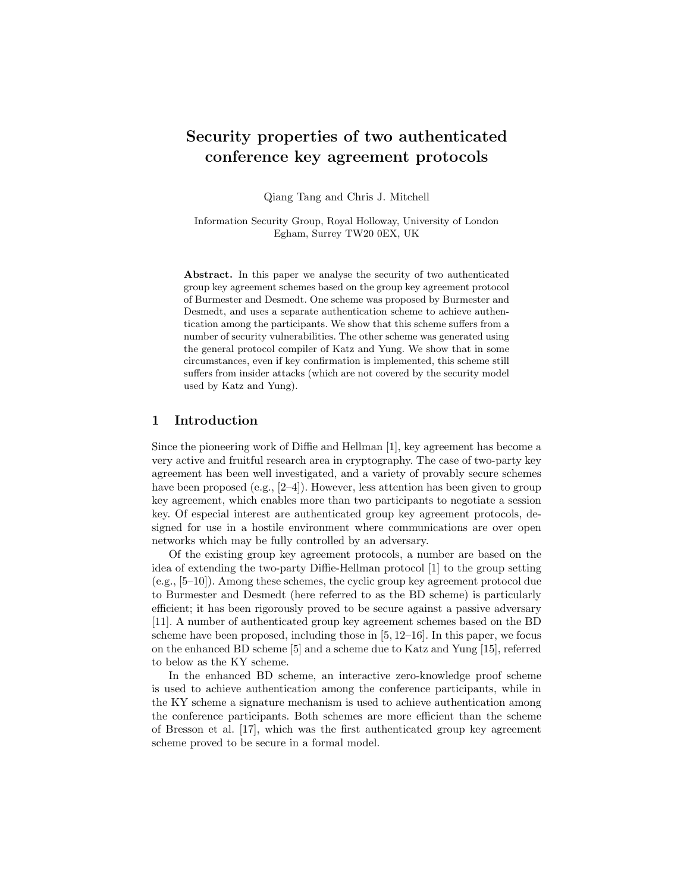# Security properties of two authenticated conference key agreement protocols

Qiang Tang and Chris J. Mitchell

Information Security Group, Royal Holloway, University of London Egham, Surrey TW20 0EX, UK

Abstract. In this paper we analyse the security of two authenticated group key agreement schemes based on the group key agreement protocol of Burmester and Desmedt. One scheme was proposed by Burmester and Desmedt, and uses a separate authentication scheme to achieve authentication among the participants. We show that this scheme suffers from a number of security vulnerabilities. The other scheme was generated using the general protocol compiler of Katz and Yung. We show that in some circumstances, even if key confirmation is implemented, this scheme still suffers from insider attacks (which are not covered by the security model used by Katz and Yung).

# 1 Introduction

Since the pioneering work of Diffie and Hellman [1], key agreement has become a very active and fruitful research area in cryptography. The case of two-party key agreement has been well investigated, and a variety of provably secure schemes have been proposed (e.g., [2–4]). However, less attention has been given to group key agreement, which enables more than two participants to negotiate a session key. Of especial interest are authenticated group key agreement protocols, designed for use in a hostile environment where communications are over open networks which may be fully controlled by an adversary.

Of the existing group key agreement protocols, a number are based on the idea of extending the two-party Diffie-Hellman protocol [1] to the group setting (e.g., [5–10]). Among these schemes, the cyclic group key agreement protocol due to Burmester and Desmedt (here referred to as the BD scheme) is particularly efficient; it has been rigorously proved to be secure against a passive adversary [11]. A number of authenticated group key agreement schemes based on the BD scheme have been proposed, including those in [5, 12–16]. In this paper, we focus on the enhanced BD scheme [5] and a scheme due to Katz and Yung [15], referred to below as the KY scheme.

In the enhanced BD scheme, an interactive zero-knowledge proof scheme is used to achieve authentication among the conference participants, while in the KY scheme a signature mechanism is used to achieve authentication among the conference participants. Both schemes are more efficient than the scheme of Bresson et al. [17], which was the first authenticated group key agreement scheme proved to be secure in a formal model.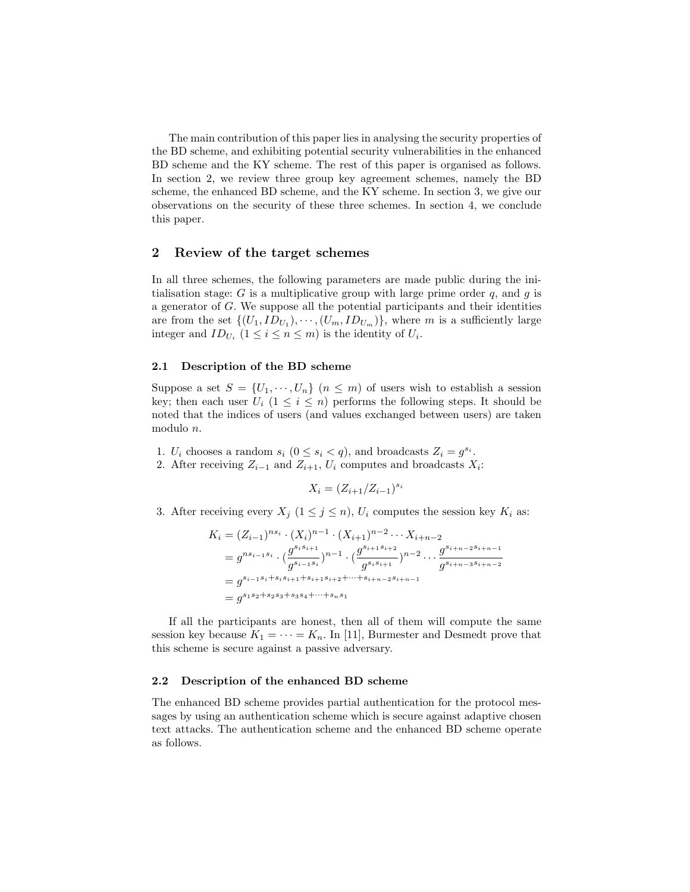The main contribution of this paper lies in analysing the security properties of the BD scheme, and exhibiting potential security vulnerabilities in the enhanced BD scheme and the KY scheme. The rest of this paper is organised as follows. In section 2, we review three group key agreement schemes, namely the BD scheme, the enhanced BD scheme, and the KY scheme. In section 3, we give our observations on the security of these three schemes. In section 4, we conclude this paper.

# 2 Review of the target schemes

In all three schemes, the following parameters are made public during the initialisation stage: G is a multiplicative group with large prime order  $q$ , and  $q$  is a generator of G. We suppose all the potential participants and their identities are from the set  $\{(U_1, ID_{U_1}), \cdots, (U_m, ID_{U_m})\}$ , where m is a sufficiently large integer and  $ID_{U_i}$   $(1 \leq i \leq n \leq m)$  is the identity of  $U_i$ .

## 2.1 Description of the BD scheme

Suppose a set  $S = \{U_1, \dots, U_n\}$   $(n \leq m)$  of users wish to establish a session key; then each user  $U_i$  ( $1 \leq i \leq n$ ) performs the following steps. It should be noted that the indices of users (and values exchanged between users) are taken modulo n.

1.  $U_i$  chooses a random  $s_i$   $(0 \le s_i < q)$ , and broadcasts  $Z_i = g^{s_i}$ . 2. After receiving  $Z_{i-1}$  and  $Z_{i+1}$ ,  $U_i$  computes and broadcasts  $X_i$ :

$$
X_i = (Z_{i+1}/Z_{i-1})^{s_i}
$$

3. After receiving every  $X_j$   $(1 \leq j \leq n)$ ,  $U_i$  computes the session key  $K_i$  as:

$$
K_i = (Z_{i-1})^{ns_i} \cdot (X_i)^{n-1} \cdot (X_{i+1})^{n-2} \cdots X_{i+n-2}
$$
  
=  $g^{ns_{i-1}s_i} \cdot (\frac{g^{s_is_{i+1}}}{g^{s_{i-1}s_i}})^{n-1} \cdot (\frac{g^{s_{i+1}s_{i+2}}}{g^{s_is_{i+1}}})^{n-2} \cdots \frac{g^{s_{i+n-2}s_{i+n-1}}}{g^{s_{i+n-3}s_{i+n-2}}}$   
=  $g^{s_{i-1}s_i+s_is_{i+1}+s_{i+1}s_{i+2}+\cdots+s_{i+n-2}s_{i+n-1}}$   
=  $g^{s_1s_2+s_2s_3+s_3s_4+\cdots+s_ns_1}$ 

If all the participants are honest, then all of them will compute the same session key because  $K_1 = \cdots = K_n$ . In [11], Burmester and Desmedt prove that this scheme is secure against a passive adversary.

#### 2.2 Description of the enhanced BD scheme

The enhanced BD scheme provides partial authentication for the protocol messages by using an authentication scheme which is secure against adaptive chosen text attacks. The authentication scheme and the enhanced BD scheme operate as follows.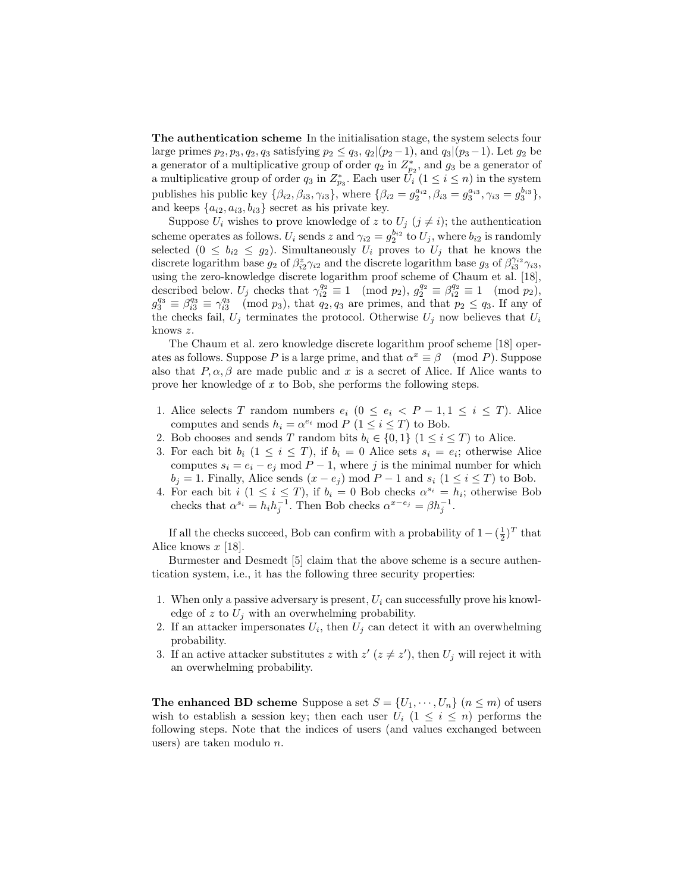The authentication scheme In the initialisation stage, the system selects four large primes  $p_2, p_3, q_2, q_3$  satisfying  $p_2 \le q_3, q_2|(p_2-1)$ , and  $q_3|(p_3-1)$ . Let  $g_2$  be a generator of a multiplicative group of order  $q_2$  in  $Z_{p_2}^*$ , and  $g_3$  be a generator of a multiplicative group of order  $q_3$  in  $Z_{p_3}^*$ . Each user  $\hat{U}_i$   $(1 \leq i \leq n)$  in the system publishes his public key  $\{\beta_{i2}, \beta_{i3}, \gamma_{i3}\}\,$ , where  $\{\beta_{i2} = g_2^{a_{i2}}, \beta_{i3} = g_3^{a_{i3}}, \gamma_{i3} = g_3^{b_{i3}}\}\,$ , and keeps  $\{a_{i2}, a_{i3}, b_{i3}\}$  secret as his private key.

Suppose  $U_i$  wishes to prove knowledge of z to  $U_j$   $(j \neq i)$ ; the authentication scheme operates as follows.  $U_i$  sends  $z$  and  $\gamma_{i2} = g_2^{b_{i2}}$  to  $U_j$ , where  $b_{i2}$  is randomly selected  $(0 \le b_{i2} \le g_2)$ . Simultaneously  $U_i$  proves to  $U_j$  that he knows the discrete logarithm base  $g_2$  of  $\beta_{i2}^z \gamma_{i2}$  and the discrete logarithm base  $g_3$  of  $\beta_{i3}^{\gamma_{i2}} \gamma_{i3}$ , using the zero-knowledge discrete logarithm proof scheme of Chaum et al. [18], described below.  $U_j$  checks that  $\gamma_{i2}^{q_2} \equiv 1 \pmod{p_2}$ ,  $g_2^{q_2} \equiv \beta_{i2}^{q_2} \equiv 1 \pmod{p_2}$ ,  $g_3^{q_3} \equiv \beta_{i3}^{q_3} \equiv \gamma_{i3}^{q_3} \pmod{p_3}$ , that  $q_2, q_3$  are primes, and that  $p_2 \leq q_3$ . If any of the checks fail,  $U_j$  terminates the protocol. Otherwise  $U_j$  now believes that  $U_i$ knows z.

The Chaum et al. zero knowledge discrete logarithm proof scheme [18] operates as follows. Suppose P is a large prime, and that  $\alpha^x \equiv \beta \pmod{P}$ . Suppose also that  $P, \alpha, \beta$  are made public and x is a secret of Alice. If Alice wants to prove her knowledge of x to Bob, she performs the following steps.

- 1. Alice selects T random numbers  $e_i$  ( $0 \le e_i < P-1, 1 \le i \le T$ ). Alice computes and sends  $h_i = \alpha^{e_i} \mod P$   $(1 \le i \le T)$  to Bob.
- 2. Bob chooses and sends T random bits  $b_i \in \{0,1\}$   $(1 \leq i \leq T)$  to Alice.
- 3. For each bit  $b_i$   $(1 \leq i \leq T)$ , if  $b_i = 0$  Alice sets  $s_i = e_i$ ; otherwise Alice computes  $s_i = e_i - e_j \mod P - 1$ , where j is the minimal number for which  $b_j = 1$ . Finally, Alice sends  $(x - e_j) \mod P - 1$  and  $s_i$   $(1 \le i \le T)$  to Bob.
- 4. For each bit  $i (1 \leq i \leq T)$ , if  $b_i = 0$  Bob checks  $\alpha^{s_i} = h_i$ ; otherwise Bob checks that  $\alpha^{s_i} = h_i h_j^{-1}$ . Then Bob checks  $\alpha^{x-e_j} = \beta h_j^{-1}$ .

If all the checks succeed, Bob can confirm with a probability of  $1 - (\frac{1}{2})^T$  that Alice knows  $x$  [18].

Burmester and Desmedt [5] claim that the above scheme is a secure authentication system, i.e., it has the following three security properties:

- 1. When only a passive adversary is present,  $U_i$  can successfully prove his knowledge of z to  $U_i$  with an overwhelming probability.
- 2. If an attacker impersonates  $U_i$ , then  $U_j$  can detect it with an overwhelming probability.
- 3. If an active attacker substitutes z with  $z'$  ( $z \neq z'$ ), then  $U_j$  will reject it with an overwhelming probability.

**The enhanced BD scheme** Suppose a set  $S = \{U_1, \dots, U_n\}$   $(n \leq m)$  of users wish to establish a session key; then each user  $U_i$  ( $1 \leq i \leq n$ ) performs the following steps. Note that the indices of users (and values exchanged between users) are taken modulo n.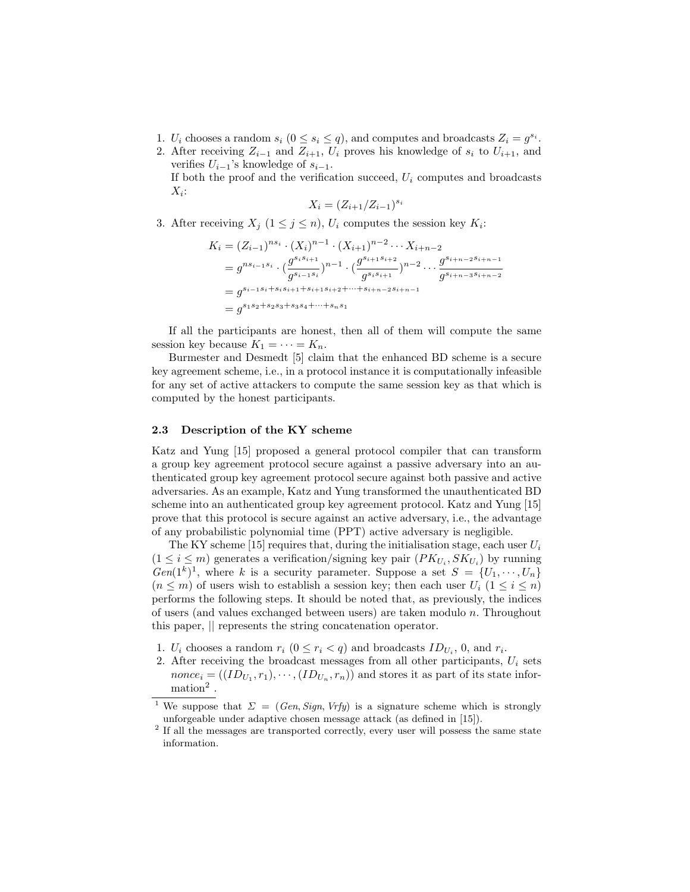- 1.  $U_i$  chooses a random  $s_i$   $(0 \le s_i \le q)$ , and computes and broadcasts  $Z_i = g^{s_i}$ .
- 2. After receiving  $Z_{i-1}$  and  $Z_{i+1}$ ,  $U_i$  proves his knowledge of  $s_i$  to  $U_{i+1}$ , and verifies  $U_{i-1}$ 's knowledge of  $s_{i-1}$ . If both the proof and the verification succeed,  $U_i$  computes and broadcasts

$$
X_i = (Z_{i+1}/Z_{i-1})^{s_i}
$$

3. After receiving  $X_j$   $(1 \leq j \leq n)$ ,  $U_i$  computes the session key  $K_i$ :

$$
K_i = (Z_{i-1})^{ns_i} \cdot (X_i)^{n-1} \cdot (X_{i+1})^{n-2} \cdots X_{i+n-2}
$$
  
=  $g^{ns_{i-1}s_i} \cdot (\frac{g^{s_is_{i+1}}}{g^{s_{i-1}s_i}})^{n-1} \cdot (\frac{g^{s_{i+1}s_{i+2}}}{g^{s_is_{i+1}}})^{n-2} \cdots \frac{g^{s_{i+n-2}s_{i+n-1}}}{g^{s_{i+n-3}s_{i+n-2}}$   
=  $g^{s_{i-1}s_i+s_is_{i+1}+s_{i+1}s_{i+2}+\cdots+s_{i+n-2}s_{i+n-1}}$   
=  $g^{s_1s_2+s_2s_3+s_3s_4+\cdots+s_ns_1}$ 

If all the participants are honest, then all of them will compute the same session key because  $K_1 = \cdots = K_n$ .

Burmester and Desmedt [5] claim that the enhanced BD scheme is a secure key agreement scheme, i.e., in a protocol instance it is computationally infeasible for any set of active attackers to compute the same session key as that which is computed by the honest participants.

#### 2.3 Description of the KY scheme

 $X_i$ :

Katz and Yung [15] proposed a general protocol compiler that can transform a group key agreement protocol secure against a passive adversary into an authenticated group key agreement protocol secure against both passive and active adversaries. As an example, Katz and Yung transformed the unauthenticated BD scheme into an authenticated group key agreement protocol. Katz and Yung [15] prove that this protocol is secure against an active adversary, i.e., the advantage of any probabilistic polynomial time (PPT) active adversary is negligible.

The KY scheme [15] requires that, during the initialisation stage, each user  $U_i$  $(1 \leq i \leq m)$  generates a verification/signing key pair  $(PK_{U_i}, SK_{U_i})$  by running  $Gen(1<sup>k</sup>)<sup>1</sup>$ , where k is a security parameter. Suppose a set  $S = \{U_1, \dots, U_n\}$  $(n \leq m)$  of users wish to establish a session key; then each user  $U_i$   $(1 \leq i \leq n)$ performs the following steps. It should be noted that, as previously, the indices of users (and values exchanged between users) are taken modulo  $n$ . Throughout this paper, || represents the string concatenation operator.

- 1.  $U_i$  chooses a random  $r_i$   $(0 \le r_i < q)$  and broadcasts  $ID_{U_i}$ , 0, and  $r_i$ .
- 2. After receiving the broadcast messages from all other participants,  $U_i$  sets  $\textit{none}_i = ((ID_{U_1}, r_1), \cdots, (ID_{U_n}, r_n))$  and stores it as part of its state information<sup>2</sup> .

<sup>&</sup>lt;sup>1</sup> We suppose that  $\Sigma = (Gen, Sign, Vrfy)$  is a signature scheme which is strongly unforgeable under adaptive chosen message attack (as defined in [15]).

<sup>&</sup>lt;sup>2</sup> If all the messages are transported correctly, every user will possess the same state information.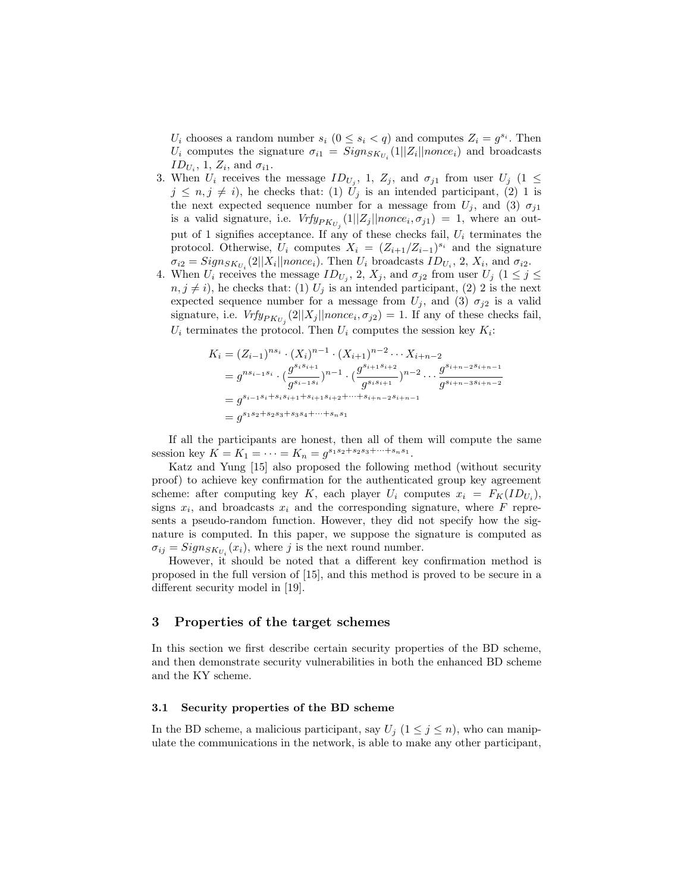$U_i$  chooses a random number  $s_i$   $(0 \leq s_i < q)$  and computes  $Z_i = g^{s_i}$ . Then  $U_i$  computes the signature  $\sigma_{i1} = Sign_{SK_{U_i}}(1||Z_i||nonce_i)$  and broadcasts  $ID_{U_i}$ , 1,  $Z_i$ , and  $\sigma_{i1}$ .

- 3. When  $U_i$  receives the message  $ID_{U_j}$ , 1,  $Z_j$ , and  $\sigma_{j1}$  from user  $U_j$  (1  $\leq$  $j \leq n, j \neq i$ , he checks that: (1)  $U_j$  is an intended participant, (2) 1 is the next expected sequence number for a message from  $U_j$ , and (3)  $\sigma_{j1}$ is a valid signature, i.e.  $Vrfy_{PK_{U_j}}(1||Z_j||\text{nonce}_i, \sigma_{j1}) = 1$ , where an output of 1 signifies acceptance. If any of these checks fail,  $U_i$  terminates the protocol. Otherwise,  $U_i$  computes  $X_i = (Z_{i+1}/Z_{i-1})^{s_i}$  and the signature  $\sigma_{i2} = Sign_{SK_{U_i}}(2||X_i||\text{none}_i)$ . Then  $U_i$  broadcasts  $ID_{U_i}$ , 2,  $X_i$ , and  $\sigma_{i2}$ .
- 4. When  $U_i$  receives the message  $ID_{U_j}$ , 2,  $X_j$ , and  $\sigma_{j2}$  from user  $U_j$   $(1 \leq j \leq j)$  $n, j \neq i$ , he checks that: (1)  $U_j$  is an intended participant, (2) 2 is the next expected sequence number for a message from  $U_j$ , and (3)  $\sigma_{j2}$  is a valid signature, i.e.  $Vrfy_{PK_{U_j}}(2||X_j||\text{nonce}_i, \sigma_{j2}) = 1$ . If any of these checks fail,  $U_i$  terminates the protocol. Then  $U_i$  computes the session key  $K_i$ :

$$
K_i = (Z_{i-1})^{ns_i} \cdot (X_i)^{n-1} \cdot (X_{i+1})^{n-2} \cdots X_{i+n-2}
$$
  
=  $g^{ns_{i-1}s_i} \cdot (\frac{g^{s_is_{i+1}}}{g^{s_{i-1}s_i}})^{n-1} \cdot (\frac{g^{s_{i+1}s_{i+2}}}{g^{s_is_{i+1}}})^{n-2} \cdots \frac{g^{s_{i+n-2}s_{i+n-1}}}{g^{s_{i+n-3}s_{i+n-2}}}$   
=  $g^{s_{i-1}s_i+s_is_{i+1}+s_{i+1}s_{i+2}+\cdots+s_{i+n-2}s_{i+n-1}}$   
=  $g^{s_1s_2+s_2s_3+s_3s_4+\cdots+s_ns_1}$ 

If all the participants are honest, then all of them will compute the same session key  $K = K_1 = \cdots = K_n = g^{s_1 s_2 + s_2 s_3 + \cdots + s_n s_1}.$ 

Katz and Yung [15] also proposed the following method (without security proof) to achieve key confirmation for the authenticated group key agreement scheme: after computing key K, each player  $U_i$  computes  $x_i = F_K(ID_{U_i}),$ signs  $x_i$ , and broadcasts  $x_i$  and the corresponding signature, where  $F$  represents a pseudo-random function. However, they did not specify how the signature is computed. In this paper, we suppose the signature is computed as  $\sigma_{ij} = Sign_{SK_{U_i}}(x_i)$ , where j is the next round number.

However, it should be noted that a different key confirmation method is proposed in the full version of [15], and this method is proved to be secure in a different security model in [19].

## 3 Properties of the target schemes

In this section we first describe certain security properties of the BD scheme, and then demonstrate security vulnerabilities in both the enhanced BD scheme and the KY scheme.

#### 3.1 Security properties of the BD scheme

In the BD scheme, a malicious participant, say  $U_j$   $(1 \leq j \leq n)$ , who can manipulate the communications in the network, is able to make any other participant,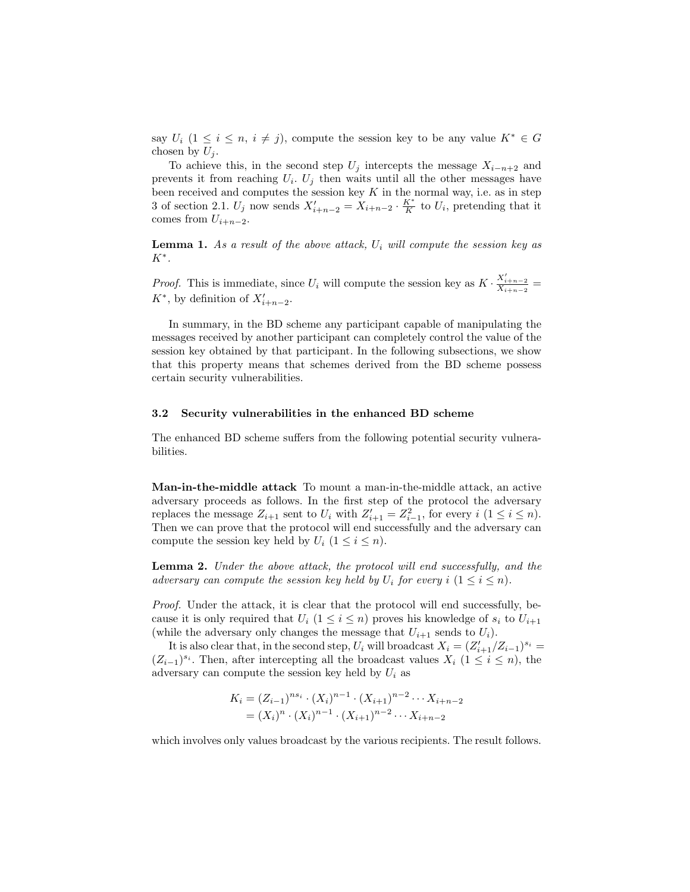say  $U_i$  (1 ≤ i ≤ n, i ≠ j), compute the session key to be any value  $K^* \in G$ chosen by  $U_j$ .

To achieve this, in the second step  $U_j$  intercepts the message  $X_{i-n+2}$  and prevents it from reaching  $U_i$ .  $U_j$  then waits until all the other messages have been received and computes the session key  $K$  in the normal way, i.e. as in step 3 of section 2.1.  $U_j$  now sends  $X'_{i+n-2} = X_{i+n-2} \cdot \frac{K^*}{K}$  to  $U_i$ , pretending that it comes from  $U_{i+n-2}$ .

**Lemma 1.** As a result of the above attack,  $U_i$  will compute the session key as  $K^*$ .

*Proof.* This is immediate, since  $U_i$  will compute the session key as  $K \cdot \frac{X'_{i+n-2}}{X_{i+n-2}} =$  $K^*$ , by definition of  $X'_{i+n-2}$ .

In summary, in the BD scheme any participant capable of manipulating the messages received by another participant can completely control the value of the session key obtained by that participant. In the following subsections, we show that this property means that schemes derived from the BD scheme possess certain security vulnerabilities.

#### 3.2 Security vulnerabilities in the enhanced BD scheme

The enhanced BD scheme suffers from the following potential security vulnerabilities.

Man-in-the-middle attack To mount a man-in-the-middle attack, an active adversary proceeds as follows. In the first step of the protocol the adversary replaces the message  $Z_{i+1}$  sent to  $U_i$  with  $Z'_{i+1} = Z_{i-1}^2$ , for every  $i$   $(1 \leq i \leq n)$ . Then we can prove that the protocol will end successfully and the adversary can compute the session key held by  $U_i$  ( $1 \leq i \leq n$ ).

Lemma 2. Under the above attack, the protocol will end successfully, and the adversary can compute the session key held by  $U_i$  for every  $i$   $(1 \leq i \leq n)$ .

Proof. Under the attack, it is clear that the protocol will end successfully, because it is only required that  $U_i$  ( $1 \leq i \leq n$ ) proves his knowledge of  $s_i$  to  $U_{i+1}$ (while the adversary only changes the message that  $U_{i+1}$  sends to  $U_i$ ).

It is also clear that, in the second step,  $U_i$  will broadcast  $X_i = (Z'_{i+1}/Z_{i-1})^{s_i} =$  $(Z_{i-1})^{s_i}$ . Then, after intercepting all the broadcast values  $X_i$  (1 ≤ i ≤ n), the adversary can compute the session key held by  $U_i$  as

$$
K_i = (Z_{i-1})^{ns_i} \cdot (X_i)^{n-1} \cdot (X_{i+1})^{n-2} \cdots X_{i+n-2}
$$
  
=  $(X_i)^n \cdot (X_i)^{n-1} \cdot (X_{i+1})^{n-2} \cdots X_{i+n-2}$ 

which involves only values broadcast by the various recipients. The result follows.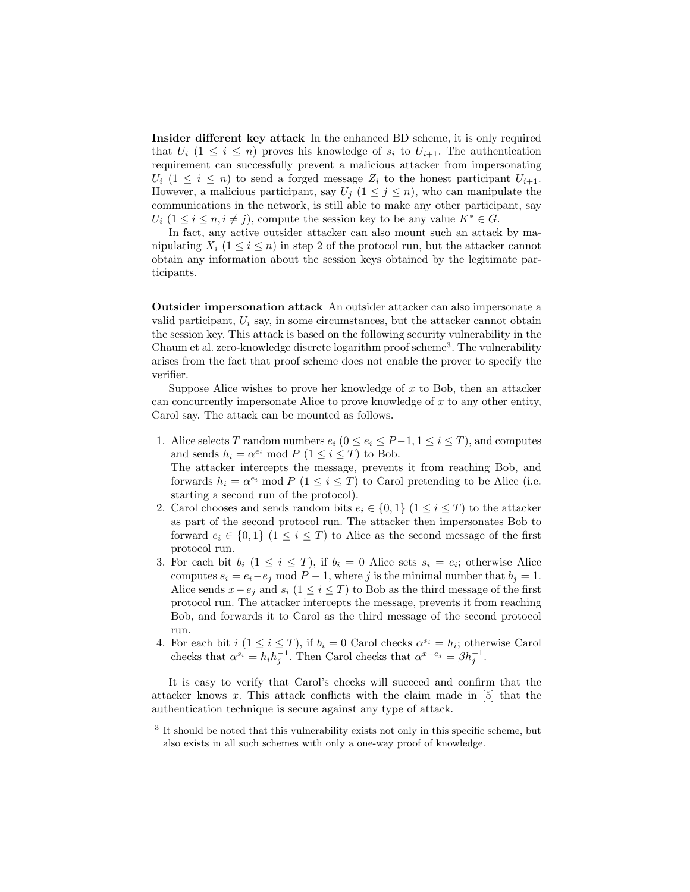Insider different key attack In the enhanced BD scheme, it is only required that  $U_i$  (1  $\leq i \leq n$ ) proves his knowledge of  $s_i$  to  $U_{i+1}$ . The authentication requirement can successfully prevent a malicious attacker from impersonating  $U_i$  (1  $\leq i \leq n$ ) to send a forged message  $Z_i$  to the honest participant  $U_{i+1}$ . However, a malicious participant, say  $U_j$   $(1 \leq j \leq n)$ , who can manipulate the communications in the network, is still able to make any other participant, say  $U_i$  (1  $\leq i \leq n, i \neq j$ ), compute the session key to be any value  $K^* \in G$ .

In fact, any active outsider attacker can also mount such an attack by manipulating  $X_i$  ( $1 \leq i \leq n$ ) in step 2 of the protocol run, but the attacker cannot obtain any information about the session keys obtained by the legitimate participants.

Outsider impersonation attack An outsider attacker can also impersonate a valid participant,  $U_i$  say, in some circumstances, but the attacker cannot obtain the session key. This attack is based on the following security vulnerability in the Chaum et al. zero-knowledge discrete logarithm proof scheme<sup>3</sup>. The vulnerability arises from the fact that proof scheme does not enable the prover to specify the verifier.

Suppose Alice wishes to prove her knowledge of  $x$  to Bob, then an attacker can concurrently impersonate Alice to prove knowledge of  $x$  to any other entity, Carol say. The attack can be mounted as follows.

- 1. Alice selects T random numbers  $e_i$  ( $0 \le e_i \le P-1, 1 \le i \le T$ ), and computes and sends  $h_i = \alpha^{e_i} \mod P$   $(1 \leq i \leq T)$  to Bob. The attacker intercepts the message, prevents it from reaching Bob, and forwards  $h_i = \alpha^{e_i} \mod P$  ( $1 \leq i \leq T$ ) to Carol pretending to be Alice (i.e. starting a second run of the protocol).
- 2. Carol chooses and sends random bits  $e_i \in \{0,1\}$   $(1 \leq i \leq T)$  to the attacker as part of the second protocol run. The attacker then impersonates Bob to forward  $e_i \in \{0,1\}$   $(1 \leq i \leq T)$  to Alice as the second message of the first protocol run.
- 3. For each bit  $b_i$   $(1 \leq i \leq T)$ , if  $b_i = 0$  Alice sets  $s_i = e_i$ ; otherwise Alice computes  $s_i = e_i - e_j \mod P - 1$ , where j is the minimal number that  $b_j = 1$ . Alice sends  $x-e_j$  and  $s_i$  (1 ≤ i ≤ T) to Bob as the third message of the first protocol run. The attacker intercepts the message, prevents it from reaching Bob, and forwards it to Carol as the third message of the second protocol run.
- 4. For each bit  $i (1 \leq i \leq T)$ , if  $b_i = 0$  Carol checks  $\alpha^{s_i} = h_i$ ; otherwise Carol checks that  $\alpha^{s_i} = h_i h_j^{-1}$ . Then Carol checks that  $\alpha^{x-e_j} = \beta h_j^{-1}$ .

It is easy to verify that Carol's checks will succeed and confirm that the attacker knows x. This attack conflicts with the claim made in  $[5]$  that the authentication technique is secure against any type of attack.

<sup>&</sup>lt;sup>3</sup> It should be noted that this vulnerability exists not only in this specific scheme, but also exists in all such schemes with only a one-way proof of knowledge.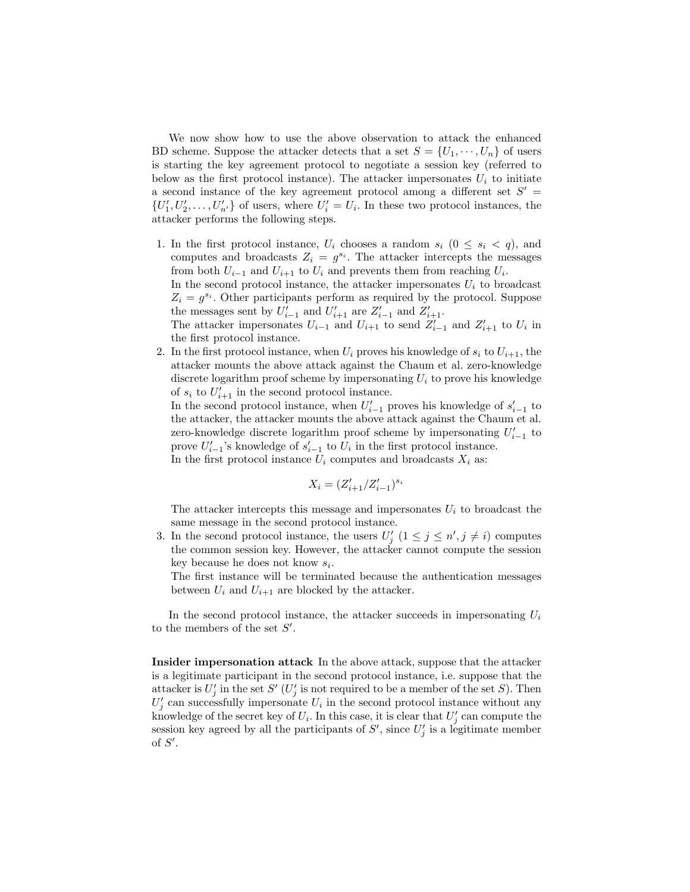We now show how to use the above observation to attack the enhanced BD scheme. Suppose the attacker detects that a set  $S = \{U_1, \dots, U_n\}$  of users is starting the key agreement protocol to negotiate a session key (referred to below as the first protocol instance). The attacker impersonates  $U_i$  to initiate a second instance of the key agreement protocol among a different set  $S'$  =  $\{U'_1, U'_2, \ldots, U'_{n'}\}$  of users, where  $U'_i = U_i$ . In these two protocol instances, the attacker performs the following steps.

1. In the first protocol instance,  $U_i$  chooses a random  $s_i$   $(0 \leq s_i \leq q)$ , and computes and broadcasts  $Z_i = g^{s_i}$ . The attacker intercepts the messages from both  $U_{i-1}$  and  $U_{i+1}$  to  $U_i$  and prevents them from reaching  $U_i$ . In the second protocol instance, the attacker impersonates  $U_i$  to broadcast  $Z_i = g^{s_i}$ . Other participants perform as required by the protocol. Suppose the messages sent by  $U'_{i-1}$  and  $U'_{i+1}$  are  $Z'_{i-1}$  and  $Z'_{i+1}$ .

The attacker impersonates  $U_{i-1}$  and  $U_{i+1}$  to send  $Z'_{i-1}$  and  $Z'_{i+1}$  to  $U_i$  in the first protocol instance.

2. In the first protocol instance, when  $U_i$  proves his knowledge of  $s_i$  to  $U_{i+1}$ , the attacker mounts the above attack against the Chaum et al. zero-knowledge discrete logarithm proof scheme by impersonating  $U_i$  to prove his knowledge of  $s_i$  to  $U'_{i+1}$  in the second protocol instance.

In the second protocol instance, when  $U'_{i-1}$  proves his knowledge of  $s'_{i-1}$  to the attacker, the attacker mounts the above attack against the Chaum et al. zero-knowledge discrete logarithm proof scheme by impersonating  $U'_{i-1}$  to prove  $U'_{i-1}$ 's knowledge of  $s'_{i-1}$  to  $U_i$  in the first protocol instance. In the first protocol instance  $U_i$  computes and broadcasts  $X_i$  as:

$$
X_i = (Z_{i+1}^\prime / Z_{i-1}^\prime)^{s_i}
$$

The attacker intercepts this message and impersonates  $U_i$  to broadcast the same message in the second protocol instance.

3. In the second protocol instance, the users  $U'_j$   $(1 \leq j \leq n', j \neq i)$  computes the common session key. However, the attacker cannot compute the session key because he does not know  $s_i$ .

The first instance will be terminated because the authentication messages between  $U_i$  and  $U_{i+1}$  are blocked by the attacker.

In the second protocol instance, the attacker succeeds in impersonating  $U_i$ to the members of the set  $S'$ .

Insider impersonation attack In the above attack, suppose that the attacker is a legitimate participant in the second protocol instance, i.e. suppose that the attacker is  $U_j'$  in the set  $S'$  ( $U_j'$  is not required to be a member of the set S). Then  $U_j'$  can successfully impersonate  $U_i$  in the second protocol instance without any knowledge of the secret key of  $U_i$ . In this case, it is clear that  $U'_j$  can compute the session key agreed by all the participants of  $S'$ , since  $U'_j$  is a legitimate member of  $S'$ .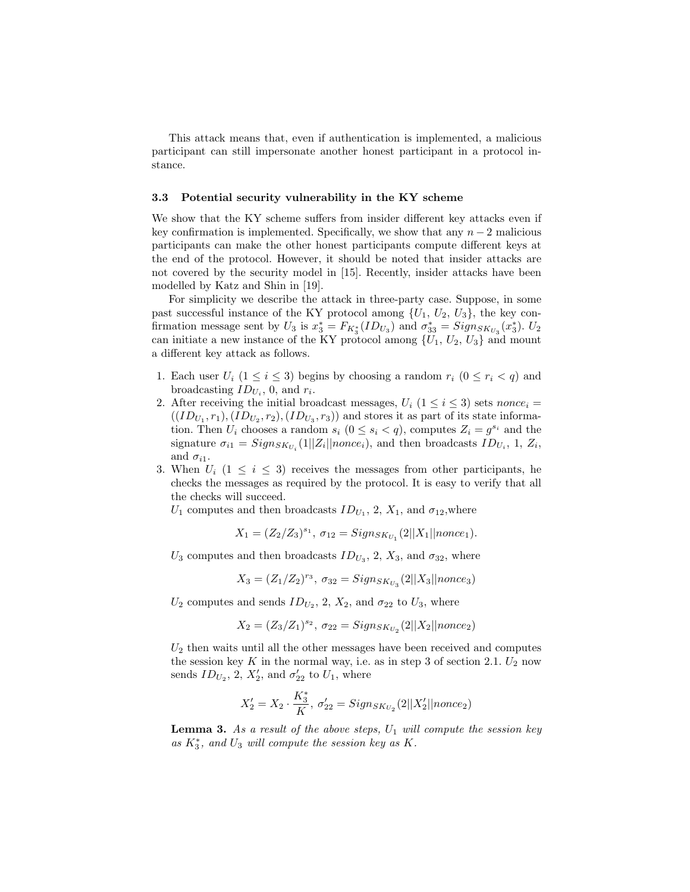This attack means that, even if authentication is implemented, a malicious participant can still impersonate another honest participant in a protocol instance.

## 3.3 Potential security vulnerability in the KY scheme

We show that the KY scheme suffers from insider different key attacks even if key confirmation is implemented. Specifically, we show that any  $n-2$  malicious participants can make the other honest participants compute different keys at the end of the protocol. However, it should be noted that insider attacks are not covered by the security model in [15]. Recently, insider attacks have been modelled by Katz and Shin in [19].

For simplicity we describe the attack in three-party case. Suppose, in some past successful instance of the KY protocol among  $\{U_1, U_2, U_3\}$ , the key confirmation message sent by  $U_3$  is  $x_3^* = F_{K_3^*}(ID_{U_3})$  and  $\sigma_{33}^* = Sign_{SK_{U_3}}(x_3^*)$ .  $U_2$ can initiate a new instance of the KY protocol among  $\{U_1, U_2, U_3\}$  and mount a different key attack as follows.

- 1. Each user  $U_i$   $(1 \leq i \leq 3)$  begins by choosing a random  $r_i$   $(0 \leq r_i < q)$  and broadcasting  $ID_{U_i}$ , 0, and  $r_i$ .
- 2. After receiving the initial broadcast messages,  $U_i$  ( $1 \le i \le 3$ ) sets nonce<sub>i</sub> =  $((ID_{U_1}, r_1), (ID_{U_2}, r_2), (ID_{U_3}, r_3))$  and stores it as part of its state information. Then  $U_i$  chooses a random  $s_i$   $(0 \le s_i < q)$ , computes  $Z_i = g^{s_i}$  and the signature  $\sigma_{i1} = Sign_{SK_{U_i}}(1||Z_i||\text{nonce}_i)$ , and then broadcasts  $ID_{U_i}$ , 1,  $Z_i$ , and  $\sigma_{i1}$ .
- 3. When  $U_i$  (1  $\leq i \leq 3$ ) receives the messages from other participants, he checks the messages as required by the protocol. It is easy to verify that all the checks will succeed.

 $U_1$  computes and then broadcasts  $ID_{U_1}$ , 2,  $X_1$ , and  $\sigma_{12}$ , where

$$
X_1 = (Z_2/Z_3)^{s_1}, \sigma_{12} = Sign_{SK_{U_1}}(2||X_1||\text{nonce}_1).
$$

 $U_3$  computes and then broadcasts  $ID_{U_3}$ , 2,  $X_3$ , and  $\sigma_{32}$ , where

$$
X_3=(Z_1/Z_2)^{r_3},\ \sigma_{32}=Sign_{SK_{U_3}}(2||X_3||\text{nonce}_3)
$$

 $U_2$  computes and sends  $ID_{U_2}$ , 2,  $X_2$ , and  $\sigma_{22}$  to  $U_3$ , where

$$
X_2 = (Z_3/Z_1)^{s_2}, \ \sigma_{22} = Sign_{SK_{U_2}}(2||X_2||\n_{C2})
$$

 $U_2$  then waits until all the other messages have been received and computes the session key K in the normal way, i.e. as in step 3 of section 2.1.  $U_2$  now sends  $ID_{U_2}$ , 2,  $X'_2$ , and  $\sigma'_{22}$  to  $U_1$ , where

$$
X_2'=X_2\cdot \frac{K_3^*}{K},\; \sigma'_{22}=Sign_{SK_{U_2}}(2||X_2'||nonce_2)
$$

**Lemma 3.** As a result of the above steps,  $U_1$  will compute the session key as  $K_3^*$ , and  $U_3$  will compute the session key as  $K$ .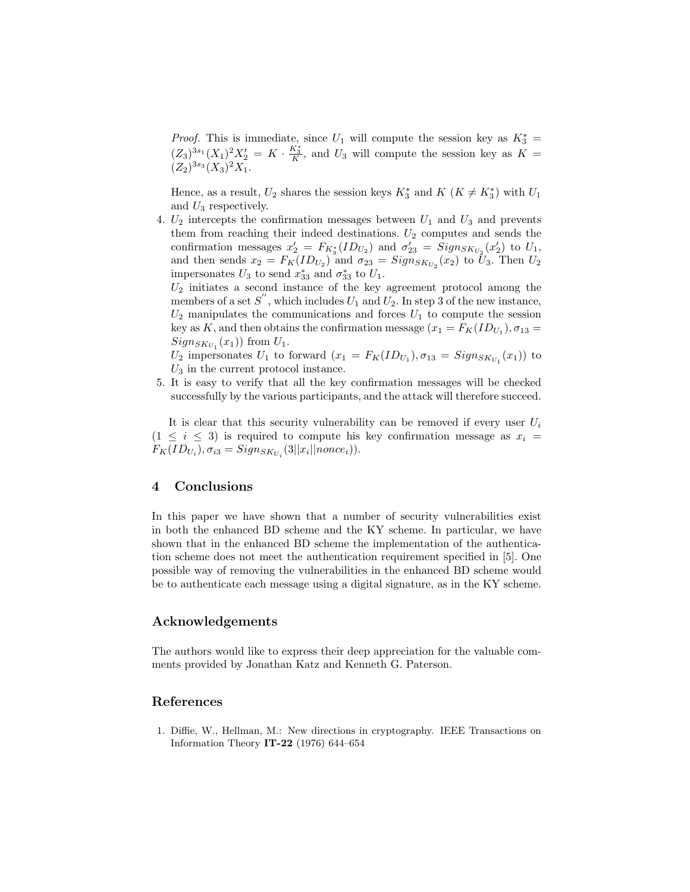*Proof.* This is immediate, since  $U_1$  will compute the session key as  $K_3^* =$  $(Z_3)^{3s_1}(X_1)^2 X_2' = K \cdot \frac{K_3^*}{K}$ , and  $U_3$  will compute the session key as  $K =$  $(Z_2)^{3s_3}(X_3)^2X_1.$ 

Hence, as a result,  $U_2$  shares the session keys  $K_3^*$  and  $K$   $(K \neq K_3^*)$  with  $U_1$ and  $U_3$  respectively.

4.  $U_2$  intercepts the confirmation messages between  $U_1$  and  $U_3$  and prevents them from reaching their indeed destinations.  $U_2$  computes and sends the confirmation messages  $x_2' = F_{K_3^*}(ID_{U_2})$  and  $\sigma'_{23} = Sign_{SK_{U_2}}(x_2')$  to  $U_1$ , and then sends  $x_2 = F_K(ID_{U_2})$  and  $\sigma_{23} = Sign_{SK_{U_2}}(x_2)$  to  $U_3$ . Then  $U_2$ impersonates  $U_3$  to send  $x_{33}^*$  and  $\sigma_{33}^*$  to  $U_1$ .

 $U_2$  initiates a second instance of the key agreement protocol among the members of a set  $S''$ , which includes  $U_1$  and  $U_2$ . In step 3 of the new instance,  $U_2$  manipulates the communications and forces  $U_1$  to compute the session key as K, and then obtains the confirmation message  $(x_1 = F_K(ID_{U_1}), \sigma_{13} =$  $Sign_{SK_{U_1}}(x_1))$  from  $U_1$ .

 $U_2$  impersonates  $U_1$  to forward  $(x_1 = F_K(ID_{U_1}), \sigma_{13} = Sign_{SK_{U_1}}(x_1))$  to  $U_3$  in the current protocol instance.

5. It is easy to verify that all the key confirmation messages will be checked successfully by the various participants, and the attack will therefore succeed.

It is clear that this security vulnerability can be removed if every user  $U_i$  $(1 \leq i \leq 3)$  is required to compute his key confirmation message as  $x_i =$  $F_K(ID_{U_i}), \sigma_{i3} = Sign_{SK_{U_i}}(3||x_i||none_i)).$ 

# 4 Conclusions

In this paper we have shown that a number of security vulnerabilities exist in both the enhanced BD scheme and the KY scheme. In particular, we have shown that in the enhanced BD scheme the implementation of the authentication scheme does not meet the authentication requirement specified in [5]. One possible way of removing the vulnerabilities in the enhanced BD scheme would be to authenticate each message using a digital signature, as in the KY scheme.

## Acknowledgements

The authors would like to express their deep appreciation for the valuable comments provided by Jonathan Katz and Kenneth G. Paterson.

## References

1. Diffie, W., Hellman, M.: New directions in cryptography. IEEE Transactions on Information Theory IT-22 (1976) 644–654